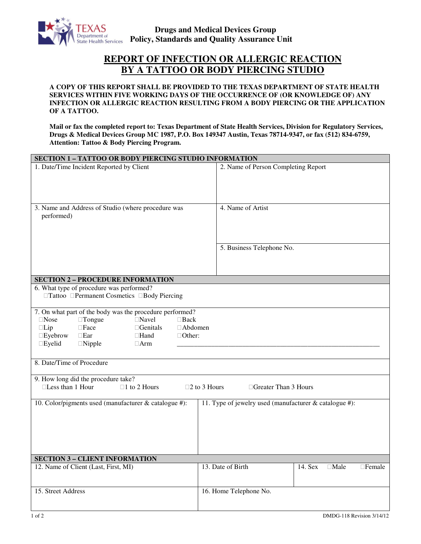

## **REPORT OF INFECTION OR ALLERGIC REACTION BY A TATTOO OR BODY PIERCING STUDIO**

**A COPY OF THIS REPORT SHALL BE PROVIDED TO THE TEXAS DEPARTMENT OF STATE HEALTH SERVICES WITHIN FIVE WORKING DAYS OF THE OCCURRENCE OF (OR KNOWLEDGE OF) ANY INFECTION OR ALLERGIC REACTION RESULTING FROM A BODY PIERCING OR THE APPLICATION OF A TATTOO.** 

**Mail or fax the completed report to: Texas Department of State Health Services, Division for Regulatory Services, Drugs & Medical Devices Group MC 1987, P.O. Box 149347 Austin, Texas 78714-9347, or fax (512) 834-6759, Attention: Tattoo & Body Piercing Program.** 

| SECTION 1 - TATTOO OR BODY PIERCING STUDIO INFORMATION                                                                                                                                                                                                                                                |                                                              |  |
|-------------------------------------------------------------------------------------------------------------------------------------------------------------------------------------------------------------------------------------------------------------------------------------------------------|--------------------------------------------------------------|--|
| 1. Date/Time Incident Reported by Client                                                                                                                                                                                                                                                              | 2. Name of Person Completing Report                          |  |
| 3. Name and Address of Studio (where procedure was<br>performed)                                                                                                                                                                                                                                      | 4. Name of Artist                                            |  |
|                                                                                                                                                                                                                                                                                                       | 5. Business Telephone No.                                    |  |
| <b>SECTION 2 - PROCEDURE INFORMATION</b>                                                                                                                                                                                                                                                              |                                                              |  |
| 6. What type of procedure was performed?<br>□Tattoo □Permanent Cosmetics □Body Piercing                                                                                                                                                                                                               |                                                              |  |
| 7. On what part of the body was the procedure performed?<br>$\Box$ Nose<br>$\Box$ Tongue<br>$\Box$ Navel<br>$\Box$ Back<br>$\Box$ Lip<br>$\Box$<br>$\Box$ Genitals<br>□ Abdomen<br>$\square$ Eyebrow<br>$\Box$ Ear<br>$\Box$ Hand<br>$\Box$ Other:<br>$\square$ Eyelid<br>$\Box$ Nipple<br>$\Box$ Arm |                                                              |  |
| 8. Date/Time of Procedure                                                                                                                                                                                                                                                                             |                                                              |  |
| 9. How long did the procedure take?<br>□Less than 1 Hour<br>$\Box$ 1 to 2 Hours<br>□Greater Than 3 Hours<br>$\square$ 2 to 3 Hours                                                                                                                                                                    |                                                              |  |
|                                                                                                                                                                                                                                                                                                       |                                                              |  |
| 10. Color/pigments used (manufacturer & catalogue #):                                                                                                                                                                                                                                                 | 11. Type of jewelry used (manufacturer & catalogue #):       |  |
| <b>SECTION 3 - CLIENT INFORMATION</b>                                                                                                                                                                                                                                                                 |                                                              |  |
| 12. Name of Client (Last, First, MI)                                                                                                                                                                                                                                                                  | 13. Date of Birth<br>14. Sex<br>$\Box$ Male<br>$\Box$ Female |  |
| 15. Street Address                                                                                                                                                                                                                                                                                    | 16. Home Telephone No.                                       |  |